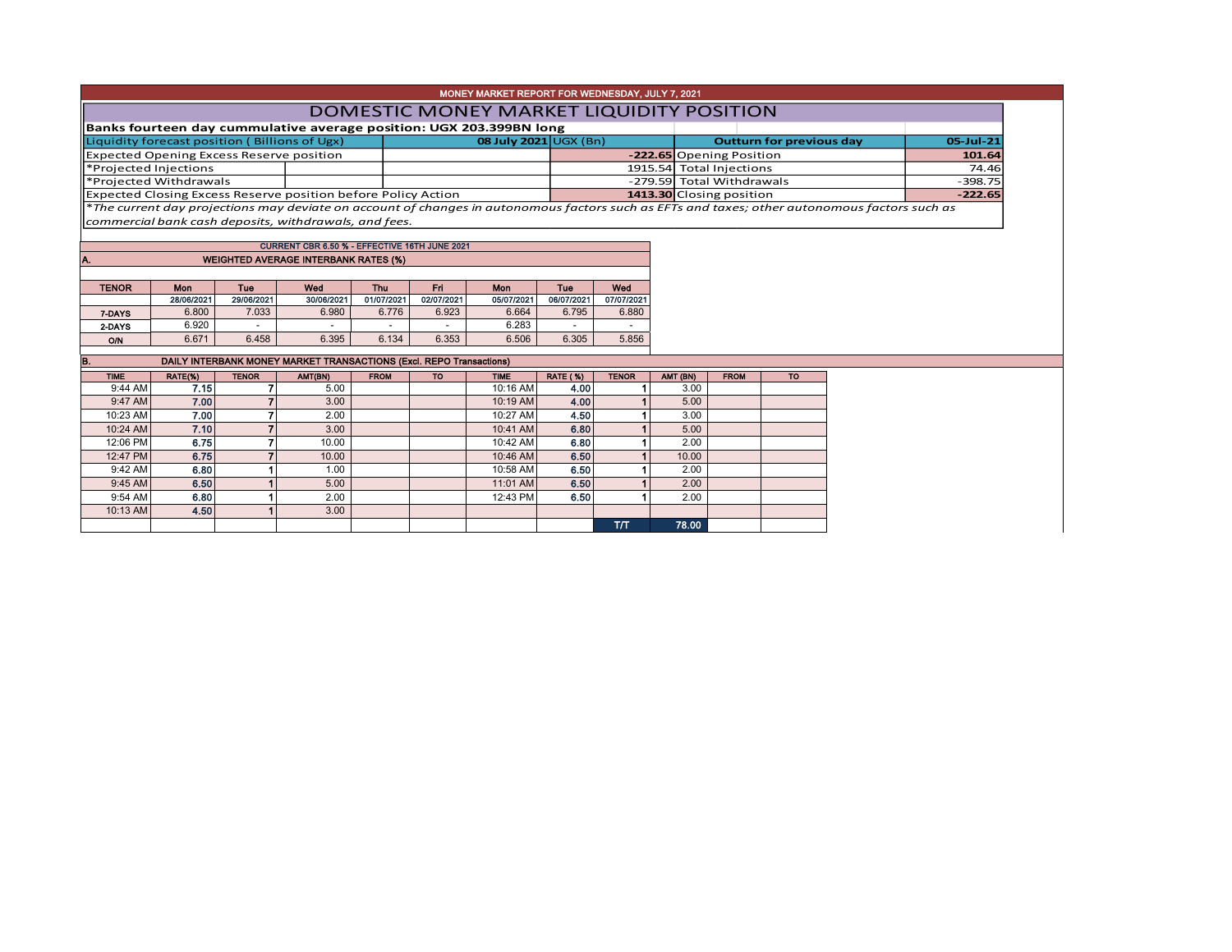|                                               |            |              |                                                                                                                                               |             |            | MONEY MARKET REPORT FOR WEDNESDAY, JULY 7, 2021 |                 |              |                                 |                           |           |           |           |  |  |  |
|-----------------------------------------------|------------|--------------|-----------------------------------------------------------------------------------------------------------------------------------------------|-------------|------------|-------------------------------------------------|-----------------|--------------|---------------------------------|---------------------------|-----------|-----------|-----------|--|--|--|
|                                               |            |              |                                                                                                                                               |             |            | DOMESTIC MONEY MARKET LIQUIDITY POSITION        |                 |              |                                 |                           |           |           |           |  |  |  |
|                                               |            |              | Banks fourteen day cummulative average position: UGX 203.399BN long                                                                           |             |            |                                                 |                 |              |                                 |                           |           |           |           |  |  |  |
| Liquidity forecast position (Billions of Ugx) |            |              |                                                                                                                                               |             |            | 08 July 2021 UGX (Bn)                           |                 |              | <b>Outturn for previous day</b> |                           |           | 05-Jul-21 |           |  |  |  |
|                                               |            |              | <b>Expected Opening Excess Reserve position</b>                                                                                               |             |            |                                                 |                 |              |                                 | -222.65 Opening Position  |           |           | 101.64    |  |  |  |
| *Projected Injections                         |            |              |                                                                                                                                               |             |            |                                                 |                 |              |                                 | 1915.54 Total Injections  |           | 74.46     |           |  |  |  |
| *Projected Withdrawals                        |            |              |                                                                                                                                               |             |            |                                                 |                 |              |                                 | -279.59 Total Withdrawals |           |           | $-398.75$ |  |  |  |
|                                               |            |              | Expected Closing Excess Reserve position before Policy Action                                                                                 |             |            |                                                 |                 |              | 1413.30 Closing position        |                           | $-222.65$ |           |           |  |  |  |
|                                               |            |              | *The current day projections may deviate on account of changes in autonomous factors such as EFTs and taxes; other autonomous factors such as |             |            |                                                 |                 |              |                                 |                           |           |           |           |  |  |  |
|                                               |            |              | commercial bank cash deposits, withdrawals, and fees.                                                                                         |             |            |                                                 |                 |              |                                 |                           |           |           |           |  |  |  |
|                                               |            |              | CURRENT CBR 6.50 % - EFFECTIVE 16TH JUNE 2021                                                                                                 |             |            |                                                 |                 |              |                                 |                           |           |           |           |  |  |  |
| A.                                            |            |              | <b>WEIGHTED AVERAGE INTERBANK RATES (%)</b>                                                                                                   |             |            |                                                 |                 |              |                                 |                           |           |           |           |  |  |  |
|                                               |            |              |                                                                                                                                               |             |            |                                                 |                 |              |                                 |                           |           |           |           |  |  |  |
| <b>TENOR</b>                                  | Mon        | Tue          | Wed                                                                                                                                           | <b>Thu</b>  | Fri        | <b>Mon</b>                                      | <b>Tue</b>      | Wed          |                                 |                           |           |           |           |  |  |  |
|                                               | 28/06/2021 | 29/06/2021   | 30/06/2021                                                                                                                                    | 01/07/2021  | 02/07/2021 | 05/07/2021                                      | 06/07/2021      | 07/07/2021   |                                 |                           |           |           |           |  |  |  |
| 7-DAYS                                        | 6.800      | 7.033        | 6.980                                                                                                                                         | 6.776       | 6.923      | 6.664                                           | 6.795           | 6.880        |                                 |                           |           |           |           |  |  |  |
| 2-DAYS                                        | 6.920      |              |                                                                                                                                               | $\sim$      |            | 6.283                                           |                 |              |                                 |                           |           |           |           |  |  |  |
| <b>O/N</b>                                    | 6.671      | 6.458        | 6.395                                                                                                                                         | 6.134       | 6.353      | 6.506                                           | 6.305           | 5.856        |                                 |                           |           |           |           |  |  |  |
| B.                                            |            |              | DAILY INTERBANK MONEY MARKET TRANSACTIONS (Excl. REPO Transactions)                                                                           |             |            |                                                 |                 |              |                                 |                           |           |           |           |  |  |  |
| <b>TIME</b>                                   | RATE(%)    | <b>TENOR</b> | AMT(BN)                                                                                                                                       | <b>FROM</b> | <b>TO</b>  | <b>TIME</b>                                     | <b>RATE (%)</b> | <b>TENOR</b> | AMT (BN)                        | <b>FROM</b>               | <b>TO</b> |           |           |  |  |  |
| 9:44 AM                                       | 7.15       |              | 5.00                                                                                                                                          |             |            | 10:16 AM                                        | 4.00            |              | 3.00                            |                           |           |           |           |  |  |  |
| 9:47 AM                                       | 7.00       |              | 3.00                                                                                                                                          |             |            | 10:19 AM                                        | 4.00            |              | 5.00                            |                           |           |           |           |  |  |  |
| 10:23 AM                                      | 7.00       |              | 2.00                                                                                                                                          |             |            | 10:27 AM                                        | 4.50            |              | 3.00                            |                           |           |           |           |  |  |  |
| 10:24 AM                                      | 7.10       |              | 3.00                                                                                                                                          |             |            | 10:41 AM                                        | 6.80            |              | 5.00                            |                           |           |           |           |  |  |  |
| 12:06 PM                                      | 6.75       |              | 10.00                                                                                                                                         |             |            | 10:42 AM                                        | 6.80            |              | 2.00                            |                           |           |           |           |  |  |  |
| 12:47 PM                                      | 6.75       |              | 10.00                                                                                                                                         |             |            | 10:46 AM                                        | 6.50            |              | 10.00                           |                           |           |           |           |  |  |  |
| 9:42 AM                                       | 6.80       |              | 1.00                                                                                                                                          |             |            | 10:58 AM                                        | 6.50            |              | 2.00                            |                           |           |           |           |  |  |  |
| 9:45 AM                                       | 6.50       |              | 5.00                                                                                                                                          |             |            | 11:01 AM                                        | 6.50            |              | 2.00                            |                           |           |           |           |  |  |  |
| 9:54 AM                                       | 6.80       |              | 2.00                                                                                                                                          |             |            | 12:43 PM                                        | 6.50            |              | 2.00                            |                           |           |           |           |  |  |  |
| 10:13 AM                                      | 4.50       |              | 3.00                                                                                                                                          |             |            |                                                 |                 |              |                                 |                           |           |           |           |  |  |  |
|                                               |            |              |                                                                                                                                               |             |            |                                                 |                 | T/T          | 78.00                           |                           |           |           |           |  |  |  |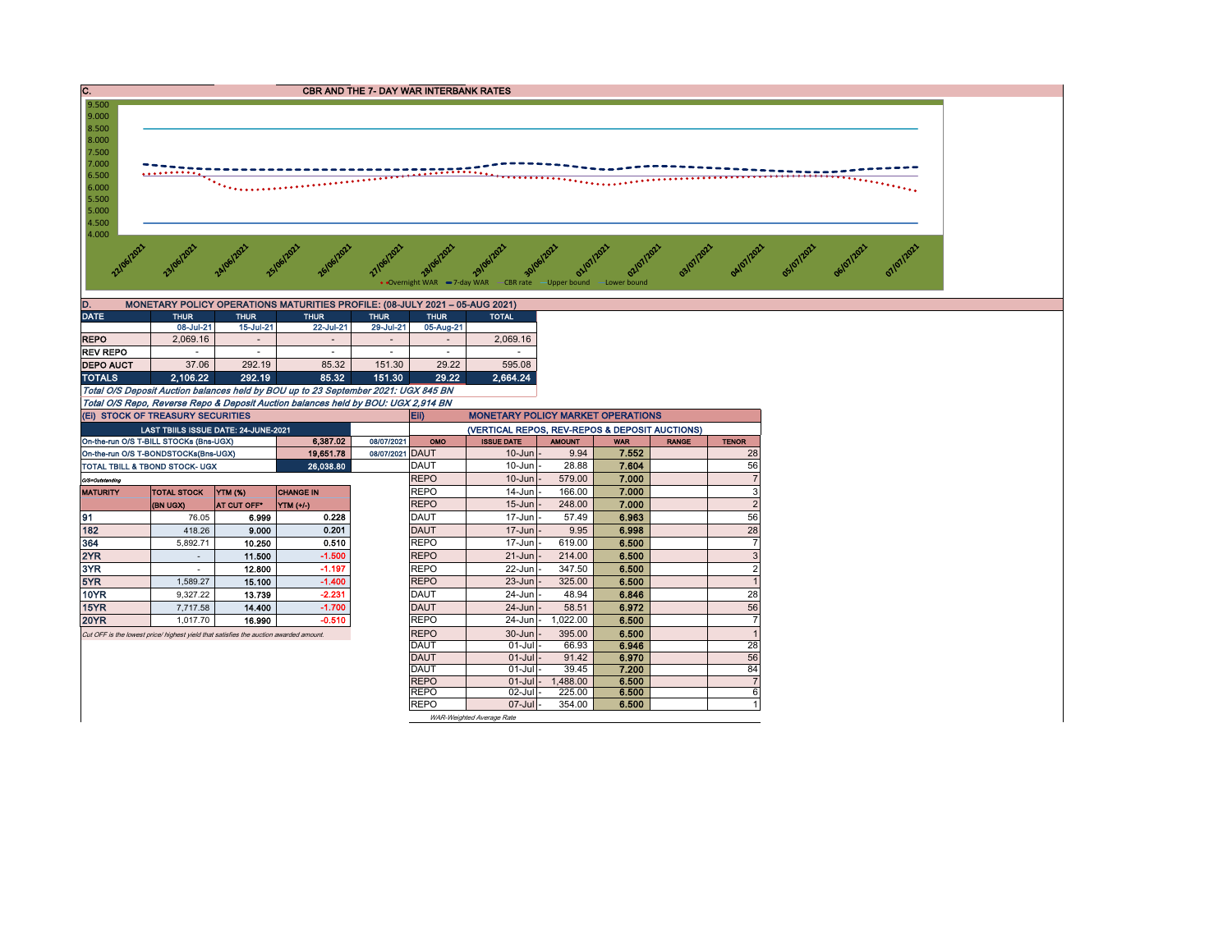